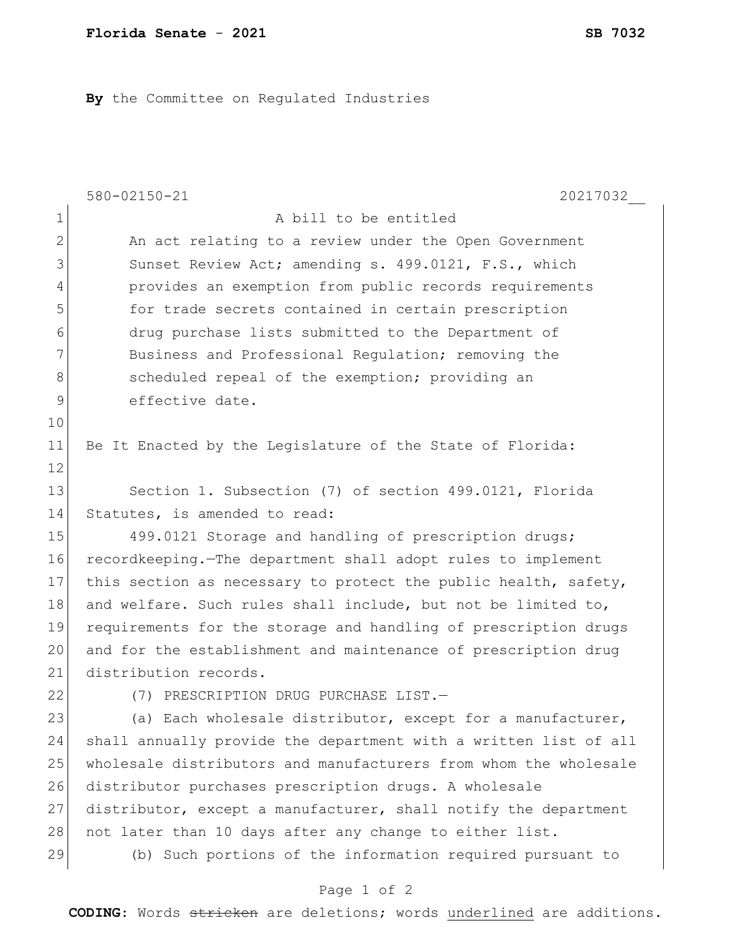**By** the Committee on Regulated Industries

|                | $580 - 02150 - 21$<br>20217032                                   |
|----------------|------------------------------------------------------------------|
| $\mathbf 1$    | A bill to be entitled                                            |
| $\overline{2}$ | An act relating to a review under the Open Government            |
| 3              | Sunset Review Act; amending s. 499.0121, F.S., which             |
| 4              | provides an exemption from public records requirements           |
| 5              | for trade secrets contained in certain prescription              |
| 6              | drug purchase lists submitted to the Department of               |
| 7              | Business and Professional Regulation; removing the               |
| 8              | scheduled repeal of the exemption; providing an                  |
| 9              | effective date.                                                  |
| 10             |                                                                  |
| 11             | Be It Enacted by the Legislature of the State of Florida:        |
| 12             |                                                                  |
| 13             | Section 1. Subsection (7) of section 499.0121, Florida           |
| 14             | Statutes, is amended to read:                                    |
| 15             | 499.0121 Storage and handling of prescription drugs;             |
| 16             | recordkeeping. The department shall adopt rules to implement     |
| 17             | this section as necessary to protect the public health, safety,  |
| 18             | and welfare. Such rules shall include, but not be limited to,    |
| 19             | requirements for the storage and handling of prescription drugs  |
| 20             | and for the establishment and maintenance of prescription drug   |
| 21             | distribution records.                                            |
| 22             | (7) PRESCRIPTION DRUG PURCHASE LIST.-                            |
| 23             | (a) Each wholesale distributor, except for a manufacturer,       |
| 24             | shall annually provide the department with a written list of all |
| 25             | wholesale distributors and manufacturers from whom the wholesale |
| 26             | distributor purchases prescription drugs. A wholesale            |
| 27             | distributor, except a manufacturer, shall notify the department  |
| 28             | not later than 10 days after any change to either list.          |
| 29             | (b) Such portions of the information required pursuant to        |
|                | Page 1 of 2                                                      |

**CODING**: Words stricken are deletions; words underlined are additions.